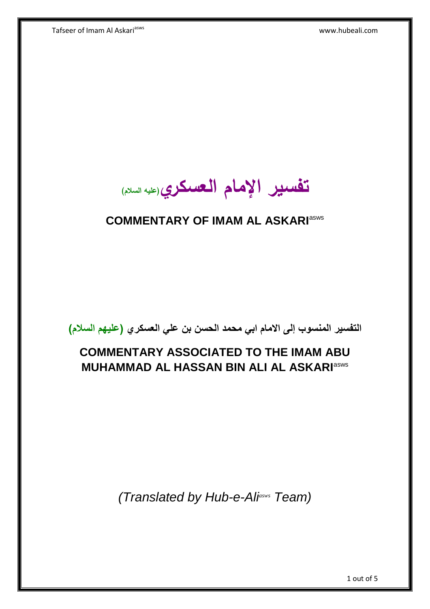Tafseer of Imam Al Askari<sup>asws</sup> www.hubeali.com

**تفسير اإلمام العسكري)عليه السالم(**

## **COMMENTARY OF IMAM AL ASKARI**asws

**التفسير المنسوب إلى االمام ابي محمد الحسن بن علي العسكري )عليهم السالم(**

# **COMMENTARY ASSOCIATED TO THE IMAM ABU MUHAMMAD AL HASSAN BIN ALI AL ASKARI**asws

*(Translated by Hub-e-Aliasws Team)*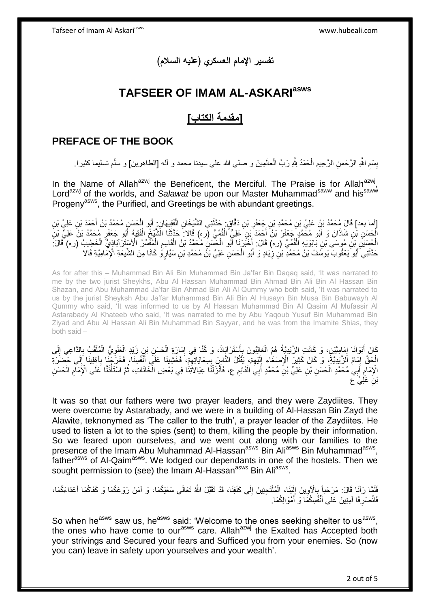**تفسير اإلمام العسكري )عليه السالم(**

### **TAFSEER OF IMAM AL-ASKARIasws**

#### **]مقدمة الكتاب[**

### **PREFACE OF THE BOOK**

بِسْمِ اللَّهِ الرَّحْمنِ الرَّحِيمِ الْحَمْدُ لِلَّهِ رَبِّ الْعالَمِينَ و صلى الله على سيدنا محمد و أله [الطاهرين] و سلّم تسليما كثيرا. ْ ْ ِ ِ **ِ** 

In the Name of Allah<sup>azwj</sup> the Beneficent, the Merciful. The Praise is for Allah<sup>azwj</sup>, Lord<sup>azwj</sup> of the worlds, and *Salawat* be upon our Master Muhammad<sup>saww</sup> and his<sup>saww</sup> Progeny<sup>asws</sup>, the Purified, and Greetings be with abundant greetings.

[أما بعد] قَالَ مُحَمَّدُ بْنُ عَلِيِّ بْنِ مُحَمَّدِ بْنِ جَعْفَرِ بْنِ دَقَّاقٍ حَذَّثَتِي الشَّيْخَانِ الْفَقِيمَانِ ۚ أَبُو الْحَسَنِ مُحَمَّدُ بْنُ أَحْمَدَ بْنِ عَلِيٍّ بْنِ<br>وَأَما بعدا قَالَ مُحَمَّدُ بْنُ عَلِيِّ ب **∶** َ ْ َ ْ َ الْحَسَنِ بِّنِ شَاذَانَ وَ أَبُو مُحَمَّدٍ جَعْفَرُ بْنُ أَحْمَدَ بْنِ عَلِيٍّ الْقُمِّيُّ (ره) قَالا: حَدَّثَنَا الَشَّيْخُ الْفَقِيَّةُ إِنُّهِ جَعْفَرٍ مُحَمَّدُ بْنُ عَلِيٍّ بْنِ<br>الْحَسَنِ بِّن شَاذَانَ وَ أَبُو مُحَ ْ َ َ ْ َ ْ َ الْحُسَيْنَ بْنَ مُوسَى بْنِ بَابَوَيْهِ الْقُمِّيُّ (ره) قَالَ: أَخْبَرَنَا أَبُو الْحَسَنُ مُحَمَّدُ بْنُ الْقَاسِمِ الْمُفَسِّرُ الْأَسْتَرْآبَاذِيُّ الْخَطِيبُ (ره) قَالَ: ْ ِ ْ ْ َ َ ْ ْ ْ حَدَّثَنِيَ أَبُو َيعْقُوبَ يُوسَُفُ بْنُ مُحَمَّدٍ بْنِ زِيَادٍ وَ أَبُو الْحَسَنِ عَلِيُّ بْنُ مُحَمَّدِ بْنِ سَيَّارٍ وَ كَانَا مِنَ الشَّيعَةِ الْإِمَامِيَّةِ قَالا ْ َ ِ َ َ

As for after this – Muhammad Bin Ali Bin Muhammad Bin Ja'far Bin Daqaq said, 'It was narrated to me by the two jurist Sheykhs, Abu Al Hassan Muhammad Bin Ahmad Bin Ali Bin Al Hassan Bin Shazan, and Abu Muhammad Ja'far Bin Ahmad Bin Ali Al Qummy who both said, 'It was narrated to us by the jurist Sheyksh Abu Ja'far Muhammad Bin Ali Bin Al Husayn Bin Musa Bin Babuwayh Al Qummy who said, 'It was informed to us by Al Hassan Muhammad Bin Al Qasim Al Mufassir Al Astarabady Al Khateeb who said, 'It was narrated to me by Abu Yaqoub Yusuf Bin Muhammad Bin Ziyad and Abu Al Hassan Ali Bin Muhammad Bin Sayyar, and he was from the Imamite Shias, they both said –

كَانَ أَبَوَانَا إِمَامِيَّيْنِ، وَ كَانَتِ الزَّيْدِيَّةُ هُمُ الْغَالِبُونَ بِأَسْتَرْآيَاذَ، وَ كُنَّا فِي إمَارَةِ الْحَسَنِ بْنِ زَيْدِ الْعَلَوِيُّ الْمُلَقَّبُ بِالدَّاعِي إِلَى ْ ِ اً ِ ْ ِ ِ **∶** ْ ِ ْ الْحَقِّ لِمَامُ اَلزَّيْدِيَّةَ، وَ كَانَ كَثِيرَ الْإِصْغَاءِ إِلَيْهِمْ، يَقَتُلُ النَّاسِ بِسِعَايَاتِهِمْ، فَخَشِينَا عَلَى أَنْفُسِنَا، فَخَرَجْنَا بِأَهْلِينَا إِلَى حَصْلَاةِ ِ لَ ِ َ **∶** َ ِ ِ ِ لَ  $\frac{1}{2}$ إِنْهِمَامِ أَبِي مُحَمَّدٍ الْحَسَنِ بْنِ عَلِيِّ بْنِ مُحَمَّدٍ أَبِي الْقَائِمِ ع، فَأَنْزَلْنَا عِيَالاَتِنَا فِي بَعْضِ الْخَانَاتِ، ثُمَّ اسْتَأْذَنَّا عَلَى الْإِمَامِ الْحَسَنِ ْ َ ْ ْ **ُ** ْ ِ ة<br>أ ُ ْ بْ*نِ عَلِيٍّ* ع

It was so that our fathers were two prayer leaders, and they were Zaydiites. They were overcome by Astarabady, and we were in a building of Al-Hassan Bin Zayd the Alawite, teknonymed as 'The caller to the truth', a prayer leader of the Zaydiites. He used to listen a lot to the spies (sent) to them, killing the people by their information. So we feared upon ourselves, and we went out along with our families to the presence of the Imam Abu Muhammad Al-Hassan<sup>asws</sup> Bin Ali<sup>asws</sup> Bin Muhammad<sup>asws</sup>, father<sup>asws</sup> of Al-Qaim<sup>asws</sup>. We lodged our dependants in one of the hostels. Then we sought permission to (see) the Imam Al-Hassan<sup>asws</sup> Bin Ali<sup>asws</sup>.

فَلَمَّا رَآنَا قَالَ: مَرْحَباً بِالْأَوِينَ إِلَيْنَا، الْمُلْتَجِئِينَ إِلَى كَنَفِنَا، قَدْ تَقَبَّلَ اللّهُ تَعَالَى سَعْيَكُمَا، وَ آمَنَ رَوْعَكُمَا وَ كَفَاكُمَا أَعْدَاءَكُمَا، ِ **∶** ِ ْ ْ لَ ِ َ فَانْصَرِفَا آمِنِينَ عَلَى أَنْفُسِكُمَا وَ أَمْوَالِكُمَا. َ َ ِ

So when he<sup>asws</sup> saw us, he<sup>asws</sup> said: 'Welcome to the ones seeking shelter to us<sup>asws</sup>, the ones who have come to our<sup>asws</sup> care. Allah<sup>azwj</sup> the Exalted has Accepted both your strivings and Secured your fears and Sufficed you from your enemies. So (now you can) leave in safety upon yourselves and your wealth'.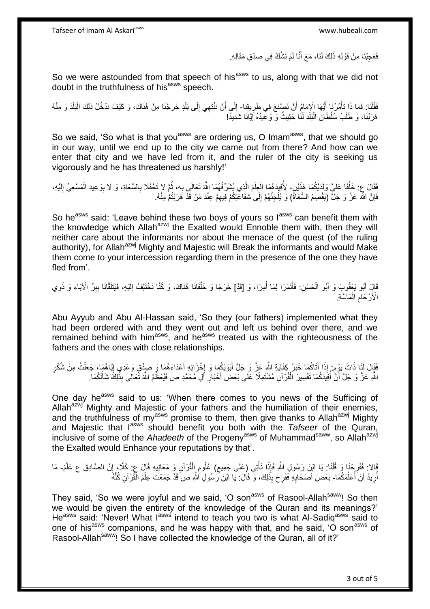Tafseer of Imam Al Askariasws www.hubeali.com

فَعَجِبْنَا مِنْ قَوْلِهِ ذَلِكَ لَنَا، مَعَ أَنَّا لَمْ نَشُكَّ فِي صِدْقِ مَقَالِهِ. َ

So we were astounded from that speech of his<sup>asws</sup> to us, along with that we did not doubt in the truthfulness of his<sup>asws</sup> speech.

فَقُلْنَا: فَمَا ذَا تَأْمُرُنَا أَيُّهَا الْإِمَامُ أَنْ نَصْنَعَ فِي طَرِيقِنَا- إِلَى أَنْ نَنْتَهِيَ إِلَى بَلَدٍ خَرَجْنَا مِنْ هُنَاكَ، وَ كَيْفَ نَدْخُلُ ذَلِكَ الْبَلَدَ وَ مِنْهُ<br>بَيْنَ مَنْ الْقَامَةِ الْجَنَالِ ْ ِ اُ َ ْ ْ  $\frac{1}{2}$ ِ ِ هَرَبْنَا، وَ طَلَبُ سُلْطَانِ الْبَلَّذِ لَنَٰا حَثِيثٌ وَ وَعِيدُهُ إِيَّانَا شَدِيدًّ! ِ ْ

So we said, 'So what is that you<sup>asws</sup> are ordering us, O Imam<sup>asws</sup>, that we should go in our way, until we end up to the city we came out from there? And how can we enter that city and we have led from it, and the ruler of the city is seeking us vigorously and he has threatened us harshly!'

فَقَالَ عِ: خَلِّفَا عَلَيَّ وَلَدَيْكُمَا هَذَيْنِ- لِأُفِيهَ هُمَا الْعِلْمَ الَّذِي يُشَرِّفُهُمَا اللَّهُ تَعَالَى بِهِ، ثُمَّ لَا تَحْفَلَا بِالسُّعَاةِ، وَ لَا بِوَعِيدِ الْمَسْعِيِّ إِلَيْهِ، ه ْ ْ ُ لَ ِ ْ ِ ِ ُ ِ فَإِنَّ اللَّهَ عَزَّ وَ جَلَّ (يَقْصِمُ السُّعَاةَ) وَ يُلْجِئُهُمْ إِلَى شَفَاعَتِكُمْ فِيهِمْ عِنْدَ مَنْ قَدْ هَرَبْتُمْ مِنْهُ. ِ  $\frac{1}{2}$ ْ ِ

So he<sup>asws</sup> said: 'Leave behind these two boys of yours so l<sup>asws</sup> can benefit them with the knowledge which Allah<sup>azwj</sup> the Exalted would Ennoble them with, then they will neither care about the informants nor about the menace of the quest (of the ruling authority), for Allah<sup>azwj</sup> Mighty and Majestic will Break the informants and would Make them come to your intercession regarding them in the presence of the one they have fled from'.

قَالٍ أَبُو يَعْقُوبَ وَ أَبُو الْحَسَنِ: فَأْتَمَرَا لِمَا أُمِرَا، وَ [قَدْ] خَرَجَا وَ خَلَّفَانَا هُنَاكَ، وَ كُنَّا نَخْتَلِفُ إِلَيْهِ، فَيَتَلَقَّانَا بِبِرِّ الْآبَاءِ وَ ذَوِي ه ا<br>ا ْ ْ َ ِ ِ ِ لَ ِ الْأَرْحَامِ الْمَاسَّةِ. ْ ِ

Abu Ayyub and Abu Al-Hassan said, 'So they (our fathers) implemented what they had been ordered with and they went out and left us behind over there, and we remained behind with him<sup>asws</sup>, and he<sup>asws</sup> treated us with the righteousness of the fathers and the ones with close relationships.

فَقَالَ لَذَا ذَاتَ يَوْم: إِذَا أَتَاكُمَا خَبَرُ كِفَايَةِ اللَّهِ عَزَّ وَ جَلَّ أَبَوَيْكُمَا وَ إِخْزَائِهِ أَعْدَاءَهُمَا وَ صِدْقِ وَعْدِي إِيَّاهُمَا، جَعَلْتُ مِنْ شُكْرِ َ ا<br>ئا َ َ ٍ ِ ْ ِ اللَّهِ عَزَّ وَ جَلَّ أَنَّ أُفِيدَكُمَا تَفْسِيرَ الْقُرْآنِ مُشْتَمِلًا عَلَى بَعْضِ أَخْبَارِ أَلِ مُحَمَّدٍ ص فَيُعَظِّمُ اللَّهُ تَعَالَى بِذَٰلِكَ شَأْنَكُمَا. ِ َ ْ ُ َ ْ

One day he<sup>asws</sup> said to us: 'When there comes to you news of the Sufficing of Allah<sup>azwj</sup> Mighty and Majestic of your fathers and the humiliation of their enemies, and the truthfulness of my<sup>asws</sup> promise to them, then give thanks to Allah<sup>azwj</sup> Mighty and Majestic that l<sup>asws</sup> should benefit you both with the *Tafseer* of the Quran, inclusive of some of the *Ahadeeth* of the Progeny<sup>asws</sup> of Muhammad<sup>saww</sup>, so Allah<sup>azwj</sup> the Exalted would Enhance your reputations by that'.

ً الاَ فَفَرِحْنَا وَ قُلْنَا. يَا ابْنِ رَسُولِ اللَّهِ فَإِذَا نَأْتِي (عَلَى جَمِيعِ) عُلُومِ إِلْقُرْآنِ وَ مَعَانِيهِ قَالَ عٖ: كَلَّا، إِنَّ الصَّادِقَ ع عَلَّمَ- مَا ْ ِ ه ِ ْ ِ ِ ْ أُرِيدُ أَنْ َأَعَلَّمَكُمَا- بَعْضَ أَصْحَابِهِ فَفَرِحَ بِذَلِكَ، وَ قَالَ: يَا ابْنَ كَرْسُولِ اللَّهِ صَ قَدْ جَمَعْتَ عِلْمَ الْمَثْرانِ كُلَّهُ ِّ :<br>ا َ **∶** ُ ه ْ ْ ِ **∶** َ

They said, 'So we were joyful and we said, 'O son<sup>asws</sup> of Rasool-Allah<sup>saww</sup>! So then we would be given the entirety of the knowledge of the Quran and its meanings?' He<sup>asws</sup> said: 'Never! What l<sup>asws</sup> intend to teach you two is what Al-Sadiq<sup>asws</sup> said to one of his<sup>asws</sup> companions, and he was happy with that, and he said, 'O son<sup>asws</sup> of Rasool-Allah<sup>saww</sup>! So I have collected the knowledge of the Quran, all of it?'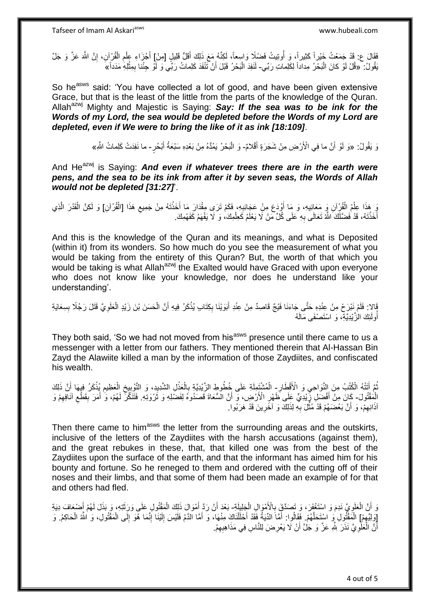فَقَالَ ع: قَدْ جَمَعْتُ خَيْراً كَثِيراً، وَ أُوتِيتُ فَضْلًا وَاسِعاً، لَكِنَّهُ مَعَ ذَلِكَ أَقَلُّ قَلِيلٍ [مِنْ]ِ أَجْزَاءِ عِلْمِ الْقُرْآنِ، إِنَّ اللَّهَ عَزَّ وَ جَلَّ<br>وَإِنَّ اللَّهُ عَنَّ وَجَمَعْتُ خَيْراً كَث ُ َ ِ ْ ِ ْ َ يَقُولُ: ۖ «قُلْ لَوْ كانَ الْبَحْرُ مِداداً لِكَلِماتِ رَبِّي- لَنَفِدَ الْبَحْرُ قَبْلَ أَنْ تَتْفَدَ كَلِماتُ رَبِّي وَ لَوْ حِنْنا بِمِثْلِهِ مَدَداً» َ ا.<br>ا **ٔ** ِ َ ْ

So he<sup>asws</sup> said: 'You have collected a lot of good, and have been given extensive Grace, but that is the least of the little from the parts of the knowledge of the Quran. Allah<sup>azwj</sup> Mighty and Majestic is Saying: Say: If the sea was to be ink for the *Words of my Lord, the sea would be depleted before the Words of my Lord are depleted, even if We were to bring the like of it as ink [18:109]*.

> وَ يَقُولُ: «وَ لَوْ أَنَّ ما فِي الْأَرْضِ مِنْ شَجَرَةٍ أَقْلامٌ- وَ الْبَحْرُ يَمُدُّهُ مِنْ بَعْدِهِ سَبْعَةُ أَبْحُرٍ- ما نَفِدَتْ كَلِماتُ الثَّمِ» َ َ ْ

And He<sup>azwj</sup> is Saying: **And even if whatever trees there are in the earth were** *pens, and the sea to be its ink from after it by seven seas, the Words of Allah would not be depleted [31:27]*'.

وَ هَذَا عِلْمُ الْقُرِْآنِ وَ مَعَانِيهِ، وَ مَا أُوْدَعَ مِنْ عَجَائِبِهِ، فَكَمْ تَرَى مِقْدَارَ مَا أَخَذْتَهُ مِنْ جَمِيعِ هَذَا [الْقُرْآنِ] وَ لَكِنَّ الْقَدْرَ الَّذِي ِ َ ْ ْ ْ ِ ْ ه ْ أَخَذْتَهُ، قَدْ فَضَّلَكَ اللَّهُ تَعَالَى بِهِ عَلَى كُلِّ مَنْ لَا يَعْلَمُ كَعِلْمِكَ، وَ لَا يَفْهَمُ كَفَهْمِكَ. ْ **∶ ٔ** َ

And this is the knowledge of the Quran and its meanings, and what is Deposited (within it) from its wonders. So how much do you see the measurement of what you would be taking from the entirety of this Quran? But, the worth of that which you would be taking is what Allah<sup>azwj</sup> the Exalted would have Graced with upon everyone who does not know like your knowledge, nor does he understand like your understanding'.

فَالا: فَلَمْ نَبْرَحْ مِنْ عِنْدِهِ حَتَّى جَاءَنَا فَيْجٌ قَاصِدٌ مِنْ عِنْدِ أَبَوَيْنَا بِكِتَابٍ يُذْكَرُ فِيهِ أَنَّ الْحَسَنَ بْنَ زَيْدٍ الْعَلَوِيَّ قَتَلَ رَجُلًا بِسِعَايَةِ ِ **∶** ْ ْ َ **ٔ** ِ َ أُولَٰٓئِكَ الْزَّيْدِيَّةِ، وَ اسْتَصْفَى مَالَهُ ُ

They both said, 'So we had not moved from his<sup>asws</sup> presence until there came to us a messenger with a letter from our fathers. They mentioned therein that Al-Hassan Bin Zayd the Alawiite killed a man by the information of those Zaydiites, and confiscated his wealth.

نُمَّ أَتَتْهُ الْكُتُبُ مِنَ النَّوَاحِي وَ الْأَقْطَارِ- الْمُشْتَمِلَةِ عَلَى خُطُوطِ الزَّيْدِيَّةِ بِالْعَذْلِ الشَّدِيدِ، وَ التَّوْيِيِخِ الْعَظِيمِ يُذْكَلُ فِيهَا أَنَّ ذَلِكَ َ ُ **∶ ٔ** ْ ; ْ َ **ٔ** ِ ْ ِ ِ الْمَقْتُولَ- كَانَ مِنْ أَفْضَلِ زِّيْدِيٍّ عَلَى ظَهْرِ الْأَرْضِ، وَ أَنَّ الْسُعَاةَ قَصَدُوهُ لِفَضْلِهِ وَ ثَرْوَتِهِ. فَتَنَكَّرَ لَهُمْ، وَ ٰ أَمَرَ بِقَطْعِ آنَاهِهِمْ وَ َ َ ِ َ ِ ِ ِ َ اَذَانِهِمْ، وَ أَنَّ بَعْضَهُمْ قَدْ مُثَّلَ بِهِ لِذَلِكَ وَ اَخَرِينَ قَدْ هَرَبُوا. **∶** ِّ اً ِ ِ

Then there came to him<sup>asws</sup> the letter from the surrounding areas and the outskirts, inclusive of the letters of the Zaydiites with the harsh accusations (against them), and the great rebukes in these, that, that killed one was from the best of the Zaydiites upon the surface of the earth, and that the informant has aimed him for his bounty and fortune. So he reneged to them and ordered with the cutting off of their noses and their limbs, and that some of them had been made an example of for that and others had fled.

وَ أَنَّ الْعَلَوِيُّ نَدِمَ وَ اسْتَغْفَرَ، وَ تَصَدَّقَ بِالْأَمْوَالِ الْجِلِيلَةِ- بَعْدَ أَنْ رَدَّ أَمْوَالَ ذَلِكَ الْمَقْتُولِ عَلَى وَرَثَتِهِ، وَ بَذَلَ لَهُمْ أَصْبَعَافَ دِيَةِ ْ ِ ِ ْ َ َ ْ َ َ [وَلِيِّهِمْ] الْمَقْتُولِ وَ اسْتَحَلَّهُمْ. فَقَالُوا: أَمَّاَ الدِّيَةُ فَقَدْ أَحْلَلْنَاكَ مِنْهَا، وَ أَمَّا الدَّمُ فَلَيْسَ إِلَيْنَا إِنَّمَا هُوَ إِلَى الْمَقْتُولِ، وَ الثَّه الْحَاكِمُ. وَ ِ ه ْ ا<br>ا ْ ِ ِ لَ ِ َ ْ َ َ أَنَّ الْعَلَوِيَّ نَذَرَ لِلَّهِ عَزَّ وَ جَلَّ أَنْ لَا يَعْرِضَ لِلنَّاسِ فِي مَذَاهِبِهِمْ. ِ ِ اً ِ ْ اً